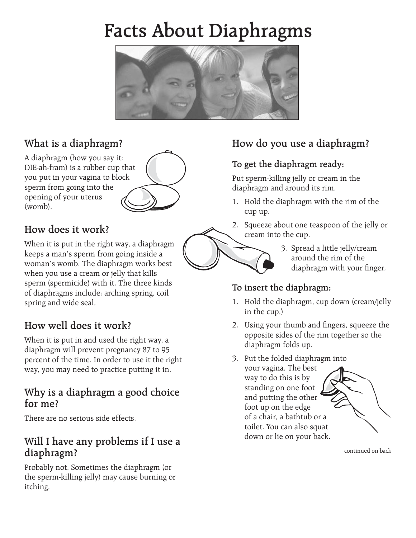# **Facts About Diaphragms**



## **What is a diaphragm?**

A diaphragm (how you say it: DIE-ah-fram) is a rubber cup that you put in your vagina to block sperm from going into the opening of your uterus (womb).

## **How does it work?**

When it is put in the right way, a diaphragm keeps a man's sperm from going inside a woman's womb. The diaphragm works best when you use a cream or jelly that kills sperm (spermicide) with it. The three kinds of diaphragms include: arching spring, coil spring and wide seal.

## **How well does it work?**

When it is put in and used the right way, a diaphragm will prevent pregnancy 87 to 95 percent of the time. In order to use it the right way, you may need to practice putting it in.

### **Why is a diaphragm a good choice for me?**

There are no serious side effects.

## **Will I have any problems if I use a diaphragm?**

Probably not. Sometimes the diaphragm (or the sperm-killing jelly) may cause burning or itching.

## **How do you use a diaphragm?**

#### **To get the diaphragm ready:**

Put sperm-killing jelly or cream in the diaphragm and around its rim.

- 1. Hold the diaphragm with the rim of the cup up.
- 2. Squeeze about one teaspoon of the jelly or cream into the cup.
	- 3. Spread a little jelly/cream around the rim of the diaphragm with your finger.

#### **To insert the diaphragm:**

- 1. Hold the diaphragm, cup down (cream/jelly in the cup.)
- 2. Using your thumb and fingers, squeeze the opposite sides of the rim together so the diaphragm folds up.
- 3. Put the folded diaphragm into
	- your vagina. The best way to do this is by standing on one foot and putting the other foot up on the edge of a chair, a bathtub or a toilet. You can also squat down or lie on your back.



continued on back